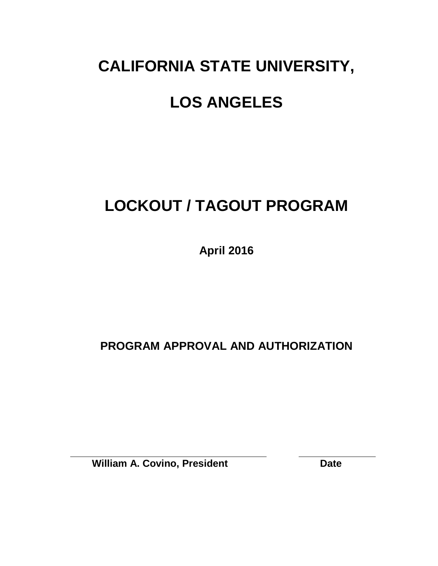## **CALIFORNIA STATE UNIVERSITY,**

## **LOS ANGELES**

# **LOCKOUT / TAGOUT PROGRAM**

**April 2016**

**PROGRAM APPROVAL AND AUTHORIZATION**

**William A. Covino, President Date**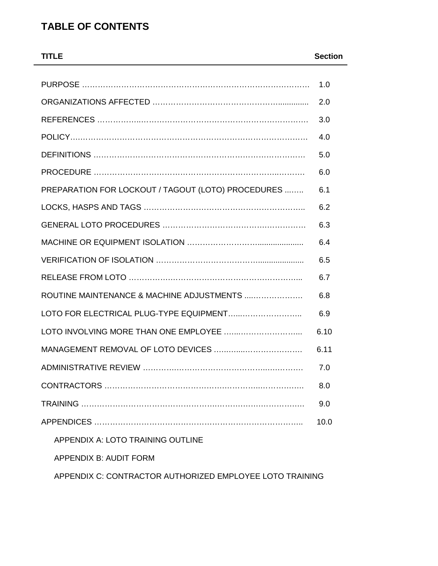### **TABLE OF CONTENTS**

| <b>TITLE</b>                                             | <b>Section</b> |
|----------------------------------------------------------|----------------|
|                                                          |                |
|                                                          | 1.0            |
|                                                          | 2.0            |
|                                                          | 3.0            |
|                                                          | 4.0            |
|                                                          | 5.0            |
|                                                          | 6.0            |
| PREPARATION FOR LOCKOUT / TAGOUT (LOTO) PROCEDURES       | 6.1            |
|                                                          | 6.2            |
|                                                          | 6.3            |
|                                                          | 6.4            |
|                                                          | 6.5            |
|                                                          | 6.7            |
| ROUTINE MAINTENANCE & MACHINE ADJUSTMENTS                | 6.8            |
| LOTO FOR ELECTRICAL PLUG-TYPE EQUIPMENT                  | 6.9            |
|                                                          | 6.10           |
|                                                          | 6.11           |
| ADMINISTRATIVE REVIEW                                    | 7.0            |
|                                                          | 8.0            |
|                                                          | 9.0            |
|                                                          | 10.0           |
| <b>APPENDIX A: LOTO TRAINING OUTLINE</b>                 |                |
| <b>APPENDIX B: AUDIT FORM</b>                            |                |
| APPENDIX C: CONTRACTOR AUTHORIZED EMPLOYEE LOTO TRAINING |                |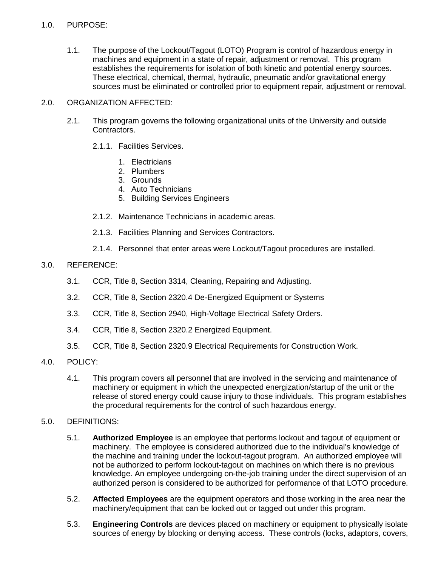#### 1.0. PURPOSE:

1.1. The purpose of the Lockout/Tagout (LOTO) Program is control of hazardous energy in machines and equipment in a state of repair, adjustment or removal. This program establishes the requirements for isolation of both kinetic and potential energy sources. These electrical, chemical, thermal, hydraulic, pneumatic and/or gravitational energy sources must be eliminated or controlled prior to equipment repair, adjustment or removal.

#### 2.0. ORGANIZATION AFFECTED:

- 2.1. This program governs the following organizational units of the University and outside Contractors.
	- 2.1.1. Facilities Services.
		- 1. Electricians
		- 2. Plumbers
		- 3. Grounds
		- 4. Auto Technicians
		- 5. Building Services Engineers
	- 2.1.2. Maintenance Technicians in academic areas.
	- 2.1.3. Facilities Planning and Services Contractors.
	- 2.1.4. Personnel that enter areas were Lockout/Tagout procedures are installed.

#### 3.0. REFERENCE:

- 3.1. CCR, Title 8, Section 3314, Cleaning, Repairing and Adjusting.
- 3.2. CCR, Title 8, Section 2320.4 De-Energized Equipment or Systems
- 3.3. CCR, Title 8, Section 2940, High-Voltage Electrical Safety Orders.
- 3.4. CCR, Title 8, Section 2320.2 Energized Equipment.
- 3.5. CCR, Title 8, Section 2320.9 Electrical Requirements for Construction Work.
- 4.0. POLICY:
	- 4.1. This program covers all personnel that are involved in the servicing and maintenance of machinery or equipment in which the unexpected energization/startup of the unit or the release of stored energy could cause injury to those individuals. This program establishes the procedural requirements for the control of such hazardous energy.

#### 5.0. DEFINITIONS:

- 5.1. **Authorized Employee** is an employee that performs lockout and tagout of equipment or machinery. The employee is considered authorized due to the individual's knowledge of the machine and training under the lockout-tagout program. An authorized employee will not be authorized to perform lockout-tagout on machines on which there is no previous knowledge. An employee undergoing on-the-job training under the direct supervision of an authorized person is considered to be authorized for performance of that LOTO procedure.
- 5.2. **Affected Employees** are the equipment operators and those working in the area near the machinery/equipment that can be locked out or tagged out under this program.
- 5.3. **Engineering Controls** are devices placed on machinery or equipment to physically isolate sources of energy by blocking or denying access. These controls (locks, adaptors, covers,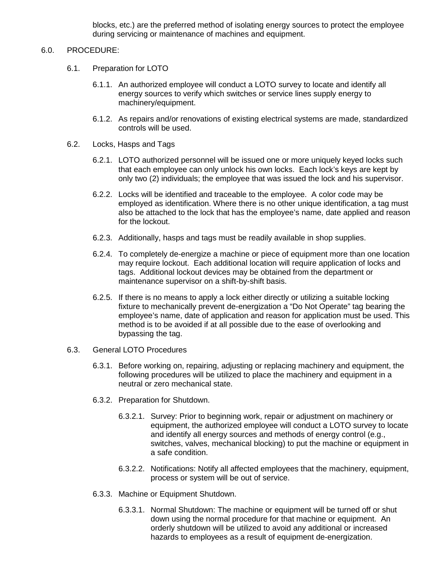blocks, etc.) are the preferred method of isolating energy sources to protect the employee during servicing or maintenance of machines and equipment.

#### 6.0. PROCEDURE:

- 6.1. Preparation for LOTO
	- 6.1.1. An authorized employee will conduct a LOTO survey to locate and identify all energy sources to verify which switches or service lines supply energy to machinery/equipment.
	- 6.1.2. As repairs and/or renovations of existing electrical systems are made, standardized controls will be used.
- 6.2. Locks, Hasps and Tags
	- 6.2.1. LOTO authorized personnel will be issued one or more uniquely keyed locks such that each employee can only unlock his own locks. Each lock's keys are kept by only two (2) individuals; the employee that was issued the lock and his supervisor.
	- 6.2.2. Locks will be identified and traceable to the employee. A color code may be employed as identification. Where there is no other unique identification, a tag must also be attached to the lock that has the employee's name, date applied and reason for the lockout.
	- 6.2.3. Additionally, hasps and tags must be readily available in shop supplies.
	- 6.2.4. To completely de-energize a machine or piece of equipment more than one location may require lockout. Each additional location will require application of locks and tags. Additional lockout devices may be obtained from the department or maintenance supervisor on a shift-by-shift basis.
	- 6.2.5. If there is no means to apply a lock either directly or utilizing a suitable locking fixture to mechanically prevent de-energization a "Do Not Operate" tag bearing the employee's name, date of application and reason for application must be used. This method is to be avoided if at all possible due to the ease of overlooking and bypassing the tag.
- 6.3. General LOTO Procedures
	- 6.3.1. Before working on, repairing, adjusting or replacing machinery and equipment, the following procedures will be utilized to place the machinery and equipment in a neutral or zero mechanical state.
	- 6.3.2. Preparation for Shutdown.
		- 6.3.2.1. Survey: Prior to beginning work, repair or adjustment on machinery or equipment, the authorized employee will conduct a LOTO survey to locate and identify all energy sources and methods of energy control (e.g., switches, valves, mechanical blocking) to put the machine or equipment in a safe condition.
		- 6.3.2.2. Notifications: Notify all affected employees that the machinery, equipment, process or system will be out of service.
	- 6.3.3. Machine or Equipment Shutdown.
		- 6.3.3.1. Normal Shutdown: The machine or equipment will be turned off or shut down using the normal procedure for that machine or equipment. An orderly shutdown will be utilized to avoid any additional or increased hazards to employees as a result of equipment de-energization.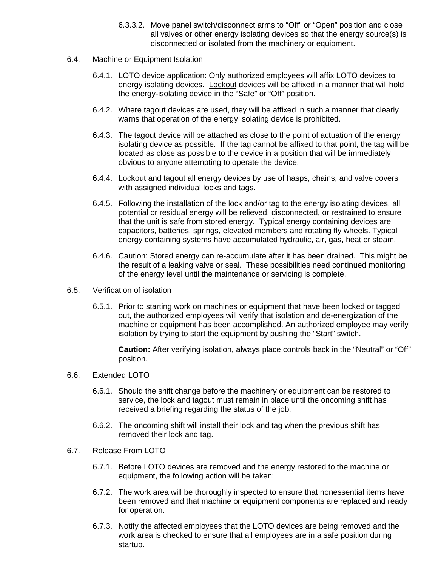- 6.3.3.2. Move panel switch/disconnect arms to "Off" or "Open" position and close all valves or other energy isolating devices so that the energy source(s) is disconnected or isolated from the machinery or equipment.
- 6.4. Machine or Equipment Isolation
	- 6.4.1. LOTO device application: Only authorized employees will affix LOTO devices to energy isolating devices. Lockout devices will be affixed in a manner that will hold the energy-isolating device in the "Safe" or "Off" position.
	- 6.4.2. Where tagout devices are used, they will be affixed in such a manner that clearly warns that operation of the energy isolating device is prohibited.
	- 6.4.3. The tagout device will be attached as close to the point of actuation of the energy isolating device as possible. If the tag cannot be affixed to that point, the tag will be located as close as possible to the device in a position that will be immediately obvious to anyone attempting to operate the device.
	- 6.4.4. Lockout and tagout all energy devices by use of hasps, chains, and valve covers with assigned individual locks and tags.
	- 6.4.5. Following the installation of the lock and/or tag to the energy isolating devices, all potential or residual energy will be relieved, disconnected, or restrained to ensure that the unit is safe from stored energy. Typical energy containing devices are capacitors, batteries, springs, elevated members and rotating fly wheels. Typical energy containing systems have accumulated hydraulic, air, gas, heat or steam.
	- 6.4.6. Caution: Stored energy can re-accumulate after it has been drained. This might be the result of a leaking valve or seal. These possibilities need continued monitoring of the energy level until the maintenance or servicing is complete.
- 6.5. Verification of isolation
	- 6.5.1. Prior to starting work on machines or equipment that have been locked or tagged out, the authorized employees will verify that isolation and de-energization of the machine or equipment has been accomplished. An authorized employee may verify isolation by trying to start the equipment by pushing the "Start" switch.

**Caution:** After verifying isolation, always place controls back in the "Neutral" or "Off" position.

- 6.6. Extended LOTO
	- 6.6.1. Should the shift change before the machinery or equipment can be restored to service, the lock and tagout must remain in place until the oncoming shift has received a briefing regarding the status of the job.
	- 6.6.2. The oncoming shift will install their lock and tag when the previous shift has removed their lock and tag.
- 6.7. Release From LOTO
	- 6.7.1. Before LOTO devices are removed and the energy restored to the machine or equipment, the following action will be taken:
	- 6.7.2. The work area will be thoroughly inspected to ensure that nonessential items have been removed and that machine or equipment components are replaced and ready for operation.
	- 6.7.3. Notify the affected employees that the LOTO devices are being removed and the work area is checked to ensure that all employees are in a safe position during startup.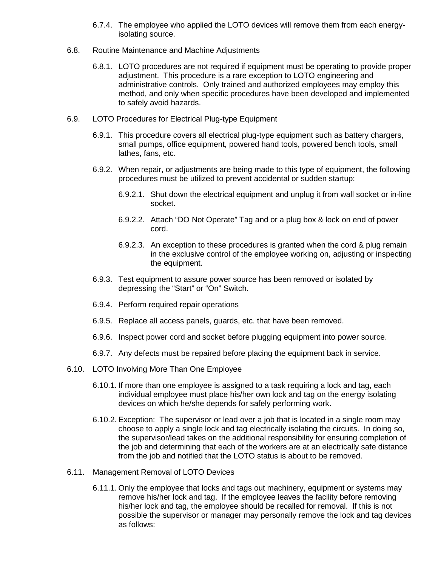- 6.7.4. The employee who applied the LOTO devices will remove them from each energyisolating source.
- 6.8. Routine Maintenance and Machine Adjustments
	- 6.8.1. LOTO procedures are not required if equipment must be operating to provide proper adjustment. This procedure is a rare exception to LOTO engineering and administrative controls. Only trained and authorized employees may employ this method, and only when specific procedures have been developed and implemented to safely avoid hazards.
- 6.9. LOTO Procedures for Electrical Plug-type Equipment
	- 6.9.1. This procedure covers all electrical plug-type equipment such as battery chargers, small pumps, office equipment, powered hand tools, powered bench tools, small lathes, fans, etc.
	- 6.9.2. When repair, or adjustments are being made to this type of equipment, the following procedures must be utilized to prevent accidental or sudden startup:
		- 6.9.2.1. Shut down the electrical equipment and unplug it from wall socket or in-line socket.
		- 6.9.2.2. Attach "DO Not Operate" Tag and or a plug box & lock on end of power cord.
		- 6.9.2.3. An exception to these procedures is granted when the cord & plug remain in the exclusive control of the employee working on, adjusting or inspecting the equipment.
	- 6.9.3. Test equipment to assure power source has been removed or isolated by depressing the "Start" or "On" Switch.
	- 6.9.4. Perform required repair operations
	- 6.9.5. Replace all access panels, guards, etc. that have been removed.
	- 6.9.6. Inspect power cord and socket before plugging equipment into power source.
	- 6.9.7. Any defects must be repaired before placing the equipment back in service.
- 6.10. LOTO Involving More Than One Employee
	- 6.10.1. If more than one employee is assigned to a task requiring a lock and tag, each individual employee must place his/her own lock and tag on the energy isolating devices on which he/she depends for safely performing work.
	- 6.10.2. Exception: The supervisor or lead over a job that is located in a single room may choose to apply a single lock and tag electrically isolating the circuits. In doing so, the supervisor/lead takes on the additional responsibility for ensuring completion of the job and determining that each of the workers are at an electrically safe distance from the job and notified that the LOTO status is about to be removed.
- 6.11. Management Removal of LOTO Devices
	- 6.11.1. Only the employee that locks and tags out machinery, equipment or systems may remove his/her lock and tag. If the employee leaves the facility before removing his/her lock and tag, the employee should be recalled for removal. If this is not possible the supervisor or manager may personally remove the lock and tag devices as follows: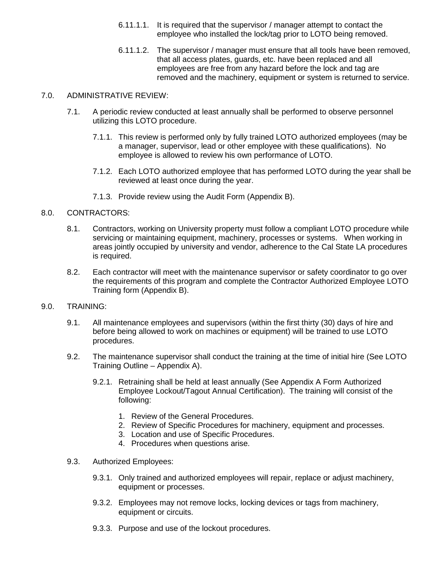- 6.11.1.1. It is required that the supervisor / manager attempt to contact the employee who installed the lock/tag prior to LOTO being removed.
- 6.11.1.2. The supervisor / manager must ensure that all tools have been removed, that all access plates, guards, etc. have been replaced and all employees are free from any hazard before the lock and tag are removed and the machinery, equipment or system is returned to service.

#### 7.0. ADMINISTRATIVE REVIEW:

- 7.1. A periodic review conducted at least annually shall be performed to observe personnel utilizing this LOTO procedure.
	- 7.1.1. This review is performed only by fully trained LOTO authorized employees (may be a manager, supervisor, lead or other employee with these qualifications). No employee is allowed to review his own performance of LOTO.
	- 7.1.2. Each LOTO authorized employee that has performed LOTO during the year shall be reviewed at least once during the year.
	- 7.1.3. Provide review using the Audit Form (Appendix B).

#### 8.0. CONTRACTORS:

- 8.1. Contractors, working on University property must follow a compliant LOTO procedure while servicing or maintaining equipment, machinery, processes or systems. When working in areas jointly occupied by university and vendor, adherence to the Cal State LA procedures is required.
- 8.2. Each contractor will meet with the maintenance supervisor or safety coordinator to go over the requirements of this program and complete the Contractor Authorized Employee LOTO Training form (Appendix B).

#### 9.0. TRAINING:

- 9.1. All maintenance employees and supervisors (within the first thirty (30) days of hire and before being allowed to work on machines or equipment) will be trained to use LOTO procedures.
- 9.2. The maintenance supervisor shall conduct the training at the time of initial hire (See LOTO Training Outline – Appendix A).
	- 9.2.1. Retraining shall be held at least annually (See Appendix A Form Authorized Employee Lockout/Tagout Annual Certification). The training will consist of the following:
		- 1. Review of the General Procedures.
		- 2. Review of Specific Procedures for machinery, equipment and processes.
		- 3. Location and use of Specific Procedures.
		- 4. Procedures when questions arise.
- 9.3. Authorized Employees:
	- 9.3.1. Only trained and authorized employees will repair, replace or adjust machinery, equipment or processes.
	- 9.3.2. Employees may not remove locks, locking devices or tags from machinery, equipment or circuits.
	- 9.3.3. Purpose and use of the lockout procedures.